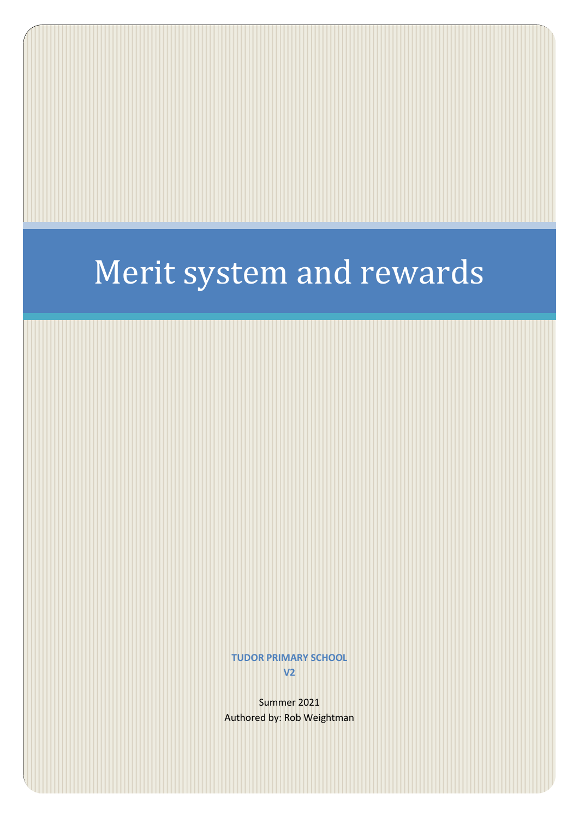# Merit system and rewards

**TUDOR PRIMARY SCHOOL V2**

Summer 2021 Authored by: Rob Weightman